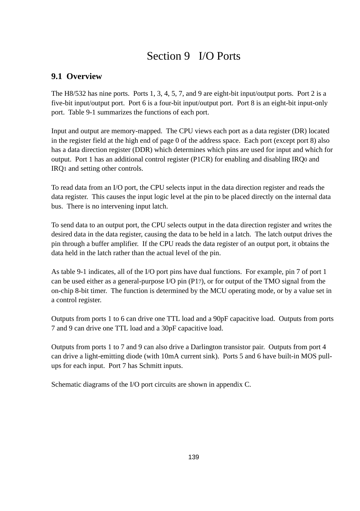# Section 9 I/O Ports

# **9.1 Overview**

The H8/532 has nine ports. Ports 1, 3, 4, 5, 7, and 9 are eight-bit input/output ports. Port 2 is a five-bit input/output port. Port 6 is a four-bit input/output port. Port 8 is an eight-bit input-only port. Table 9-1 summarizes the functions of each port.

Input and output are memory-mapped. The CPU views each port as a data register (DR) located in the register field at the high end of page 0 of the address space. Each port (except port 8) also has a data direction register (DDR) which determines which pins are used for input and which for output. Port 1 has an additional control register (P1CR) for enabling and disabling IRQ0 and IRQ1 and setting other controls.

To read data from an I/O port, the CPU selects input in the data direction register and reads the data register. This causes the input logic level at the pin to be placed directly on the internal data bus. There is no intervening input latch.

To send data to an output port, the CPU selects output in the data direction register and writes the desired data in the data register, causing the data to be held in a latch. The latch output drives the pin through a buffer amplifier. If the CPU reads the data register of an output port, it obtains the data held in the latch rather than the actual level of the pin.

As table 9-1 indicates, all of the I/O port pins have dual functions. For example, pin 7 of port 1 can be used either as a general-purpose I/O pin (P17), or for output of the TMO signal from the on-chip 8-bit timer. The function is determined by the MCU operating mode, or by a value set in a control register.

Outputs from ports 1 to 6 can drive one TTL load and a 90pF capacitive load. Outputs from ports 7 and 9 can drive one TTL load and a 30pF capacitive load.

Outputs from ports 1 to 7 and 9 can also drive a Darlington transistor pair. Outputs from port 4 can drive a light-emitting diode (with 10mA current sink). Ports 5 and 6 have built-in MOS pullups for each input. Port 7 has Schmitt inputs.

Schematic diagrams of the I/O port circuits are shown in appendix C.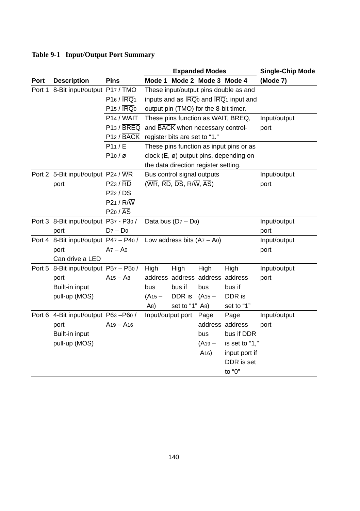# **Table 9-1 Input/Output Port Summary**

|             |                                       |                                          | <b>Expanded Modes</b> |                                                                                                                   |                      | <b>Single-Chip Mode</b>                                                         |              |
|-------------|---------------------------------------|------------------------------------------|-----------------------|-------------------------------------------------------------------------------------------------------------------|----------------------|---------------------------------------------------------------------------------|--------------|
| <b>Port</b> | <b>Description</b>                    | <b>Pins</b>                              | Mode 1                |                                                                                                                   | Mode 2 Mode 3 Mode 4 |                                                                                 | (Mode 7)     |
|             | Port 1 8-Bit input/output P17 / TMO   |                                          |                       |                                                                                                                   |                      | These input/output pins double as and                                           |              |
|             |                                       | $P16 / \overline{IRQ1}$                  |                       |                                                                                                                   |                      | inputs and as $\overline{\text{IRQ}}_0$ and $\overline{\text{IRQ}}_1$ input and |              |
|             |                                       | $P15 / \overline{IRQ0}$                  |                       | output pin (TMO) for the 8-bit timer.                                                                             |                      |                                                                                 |              |
|             |                                       | $P14 / \overline{WAIT}$                  |                       |                                                                                                                   |                      | These pins function as WAIT, BREQ,                                              | Input/output |
|             |                                       | $P13 / \overline{BREG}$                  |                       | and BACK when necessary control-                                                                                  |                      |                                                                                 | port         |
|             |                                       | P12 / BACK register bits are set to "1." |                       |                                                                                                                   |                      |                                                                                 |              |
|             |                                       | P11/E                                    |                       |                                                                                                                   |                      | These pins function as input pins or as                                         |              |
|             |                                       | $P10/\varnothing$                        |                       |                                                                                                                   |                      | clock (E, ø) output pins, depending on                                          |              |
|             |                                       |                                          |                       | the data direction register setting.                                                                              |                      |                                                                                 |              |
|             | Port 2 5-Bit input/output P24 / WR    |                                          |                       | Bus control signal outputs                                                                                        |                      |                                                                                 | Input/output |
|             | port                                  | $P23 / \overline{RD}$                    |                       | $(\overline{\text{WR}}, \overline{\text{RD}}, \overline{\text{DS}}, \overline{\text{R/N}}, \overline{\text{AS}})$ |                      |                                                                                 | port         |
|             |                                       | $P22 / \overline{DS}$                    |                       |                                                                                                                   |                      |                                                                                 |              |
|             |                                       | $P21/R/\overline{W}$                     |                       |                                                                                                                   |                      |                                                                                 |              |
|             |                                       | $P20 / \overline{AS}$                    |                       |                                                                                                                   |                      |                                                                                 |              |
|             | Port 3 8-Bit input/output P37 - P30 / |                                          |                       | Data bus $(D7 - Do)$                                                                                              |                      |                                                                                 | Input/output |
|             | port                                  | $D7 - D0$                                |                       |                                                                                                                   |                      |                                                                                 | port         |
|             | Port 4 8-Bit input/output P47 - P40 / |                                          |                       | Low address bits $(A7 - A0)$                                                                                      |                      |                                                                                 | Input/output |
|             | port                                  | $Az - Ao$                                |                       |                                                                                                                   |                      |                                                                                 | port         |
|             | Can drive a LED                       |                                          |                       |                                                                                                                   |                      |                                                                                 |              |
|             | Port 5 8-Bit input/output P57 - P50 / |                                          | High                  | High                                                                                                              | High                 | High                                                                            | Input/output |
|             | port                                  | $A15 - A8$                               |                       | address address address address                                                                                   |                      |                                                                                 | port         |
|             | Built-in input                        |                                          | bus                   | bus if                                                                                                            | bus                  | bus if                                                                          |              |
|             | pull-up (MOS)                         |                                          | $(A15 -$              | DDR is                                                                                                            | $(A15 -$             | DDR is                                                                          |              |
|             |                                       |                                          | A8)                   | set to "1" A <sub>8</sub> )                                                                                       |                      | set to "1"                                                                      |              |
|             | Port 6 4-Bit input/output P63-P60 /   |                                          |                       | Input/output port                                                                                                 | Page                 | Page                                                                            | Input/output |
|             | port                                  | $A_{19} - A_{16}$                        |                       |                                                                                                                   |                      | address address                                                                 | port         |
|             | Built-in input                        |                                          |                       |                                                                                                                   | bus                  | bus if DDR                                                                      |              |
|             | pull-up (MOS)                         |                                          |                       |                                                                                                                   | $(A19 -$             | is set to "1,"                                                                  |              |
|             |                                       |                                          |                       |                                                                                                                   | A <sub>16</sub>      | input port if                                                                   |              |
|             |                                       |                                          |                       |                                                                                                                   |                      | DDR is set                                                                      |              |
|             |                                       |                                          |                       |                                                                                                                   |                      | to "0"                                                                          |              |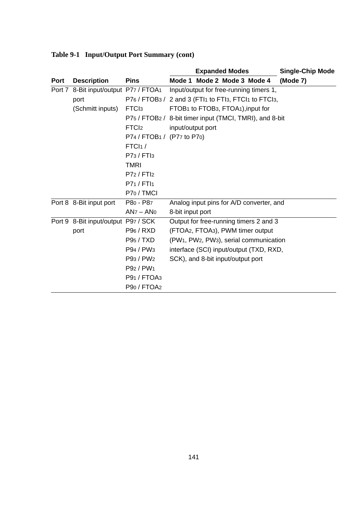|      |                                       |                                     | <b>Expanded Modes</b>                                                        | <b>Single-Chip Mode</b> |
|------|---------------------------------------|-------------------------------------|------------------------------------------------------------------------------|-------------------------|
| Port | <b>Description</b>                    | <b>Pins</b>                         | Mode 1 Mode 2 Mode 3 Mode 4                                                  | (Mode 7)                |
|      | Port 7 8-Bit input/output P77 / FTOA1 |                                     | Input/output for free-running timers 1,                                      |                         |
|      | port                                  |                                     | P76 / FTOB3 / 2 and 3 (FTI1 to FTI3, FTCI1 to FTCI3,                         |                         |
|      | (Schmitt inputs)                      | FTC <sub>13</sub>                   | FTOB1 to FTOB3, FTOA1), input for                                            |                         |
|      |                                       |                                     | P75 / FTOB2 / 8-bit timer input (TMCI, TMRI), and 8-bit                      |                         |
|      |                                       | FTCI <sub>2</sub>                   | input/output port                                                            |                         |
|      |                                       | P74 / FTOB1 / (P77 to P70)          |                                                                              |                         |
|      |                                       | FTCI <sub>1</sub> /                 |                                                                              |                         |
|      |                                       | P73 / FTI3                          |                                                                              |                         |
|      |                                       | <b>TMRI</b>                         |                                                                              |                         |
|      |                                       | P72 / FTI2                          |                                                                              |                         |
|      |                                       | P71 / FTI1                          |                                                                              |                         |
|      |                                       | P <sub>70</sub> / TMCI              |                                                                              |                         |
|      | Port 8 8-Bit input port               | P80 - P87                           | Analog input pins for A/D converter, and                                     |                         |
|      |                                       | $ANz - ANo$                         | 8-bit input port                                                             |                         |
|      | Port 9 8-Bit input/output P97 / SCK   |                                     | Output for free-running timers 2 and 3                                       |                         |
|      | port                                  | P96 / RXD                           | (FTOA2, FTOA3), PWM timer output                                             |                         |
|      |                                       | <b>P95/TXD</b>                      | (PW <sub>1</sub> , PW <sub>2</sub> , PW <sub>3</sub> ), serial communication |                         |
|      |                                       | P94 / PW <sub>3</sub>               | interface (SCI) input/output (TXD, RXD,                                      |                         |
|      |                                       | P93 / PW <sub>2</sub>               | SCK), and 8-bit input/output port                                            |                         |
|      |                                       | P92 / PW <sub>1</sub>               |                                                                              |                         |
|      |                                       | P <sub>91</sub> / FTOA <sub>3</sub> |                                                                              |                         |
|      |                                       | P90 / FTOA2                         |                                                                              |                         |

# **Table 9-1 Input/Output Port Summary (cont)**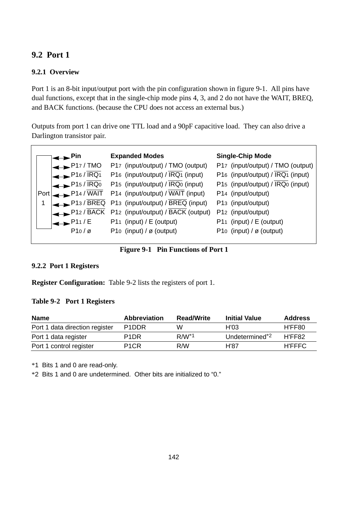# **9.2 Port 1**

# **9.2.1 Overview**

Port 1 is an 8-bit input/output port with the pin configuration shown in figure 9-1. All pins have dual functions, except that in the single-chip mode pins 4, 3, and 2 do not have the WAIT, BREQ, and BACK functions. (because the CPU does not access an external bus.)

Outputs from port 1 can drive one TTL load and a 90pF capacitive load. They can also drive a Darlington transistor pair.

|   | .Pin                  | <b>Expanded Modes</b>                             | <b>Single-Chip Mode</b>              |
|---|-----------------------|---------------------------------------------------|--------------------------------------|
|   | P17/TMO               | P17 (input/output) / TMO (output)                 | P17 (input/output) / TMO (output)    |
|   | $P16/\overline{IRQ1}$ | P16 (input/output) / IRQ1 (input)                 | P16 (input/output) / IRQ1 (input)    |
|   | P15/IRQ0              | P15 (input/output) / IRQ0 (input)                 | P15 (input/output) / IRQ0 (input)    |
|   |                       | Port P14 / WAIT P14 (input/output) / WAIT (input) | P14 (input/output)                   |
| 1 |                       | P13 / BREQ P13 (input/output) / BREQ (input)      | P13 (input/output)                   |
|   |                       | $P12$ / BACK P12 (input/output) / BACK (output)   | P12 (input/output)                   |
|   | P11/E                 | P11 (input) $/E$ (output)                         | P11 (input) / E (output)             |
|   | $P10/\varnothing$     | P10 (input) / $\varnothing$ (output)              | P10 (input) / $\varnothing$ (output) |
|   |                       |                                                   |                                      |

**Figure 9-1 Pin Functions of Port 1**

#### **9.2.2 Port 1 Registers**

**Register Configuration:** Table 9-2 lists the registers of port 1.

#### **Table 9-2 Port 1 Registers**

| <b>Name</b>                    | <b>Abbreviation</b>            | <b>Read/Write</b> | <b>Initial Value</b>       | Address       |
|--------------------------------|--------------------------------|-------------------|----------------------------|---------------|
| Port 1 data direction register | P <sub>1</sub> D <sub>DR</sub> | w                 | H'03                       | H'FF80        |
| Port 1 data register           | P <sub>1</sub> D <sub>R</sub>  | $R/W^*1$          | Undetermined <sup>*2</sup> | H'FF82        |
| Port 1 control register        | P <sub>1</sub> C <sub>R</sub>  | R/W               | H'87                       | <b>H'FFFC</b> |

\*1 Bits 1 and 0 are read-only.

\*2 Bits 1 and 0 are undetermined. Other bits are initialized to "0."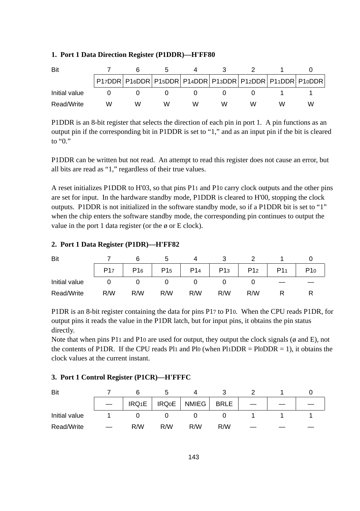#### **1. Port 1 Data Direction Register (P1DDR)—H'FF80**

| Bit           |   |   |   |   |   |   |     |                                                                       |
|---------------|---|---|---|---|---|---|-----|-----------------------------------------------------------------------|
|               |   |   |   |   |   |   |     | P17DDR   P16DDR   P15DDR   P14DDR   P13DDR   P12DDR   P11DDR   P10DDR |
| Initial value |   |   |   |   |   |   |     |                                                                       |
| Read/Write    | w | w | w | w | w | w | ۱Λ. | w                                                                     |

P1DDR is an 8-bit register that selects the direction of each pin in port 1. A pin functions as an output pin if the corresponding bit in P1DDR is set to "1," and as an input pin if the bit is cleared to " $0$ "

P1DDR can be written but not read. An attempt to read this register does not cause an error, but all bits are read as "1," regardless of their true values.

A reset initializes P1DDR to H'03, so that pins P11 and P10 carry clock outputs and the other pins are set for input. In the hardware standby mode, P1DDR is cleared to H'00, stopping the clock outputs. P1DDR is not initialized in the software standby mode, so if a P1DDR bit is set to "1" when the chip enters the software standby mode, the corresponding pin continues to output the value in the port 1 data register (or the  $\phi$  or E clock).

#### **2. Port 1 Data Register (P1DR)—H'FF82**

| Bit           |                 |                 |                 |                 |                 |                 |     |
|---------------|-----------------|-----------------|-----------------|-----------------|-----------------|-----------------|-----|
|               | P <sub>17</sub> | P <sub>16</sub> | P <sub>15</sub> | P <sub>14</sub> | P <sub>13</sub> | P <sub>12</sub> | P10 |
| Initial value |                 |                 |                 |                 |                 |                 |     |
| Read/Write    | R/W             | R/W             | R/W             | R/W             | R/W             | R/W             |     |

P1DR is an 8-bit register containing the data for pins P17 to P10. When the CPU reads P1DR, for output pins it reads the value in the P1DR latch, but for input pins, it obtains the pin status directly.

Note that when pins P11 and P10 are used for output, they output the clock signals ( $\phi$  and E), not the contents of P1DR. If the CPU reads P11 and Pl0 (when Pl1DDR = Pl0DDR = 1), it obtains the clock values at the current instant.

#### **3. Port 1 Control Register (P1CR)—H'FFFC**

| Bit           |          |              |       |             |  |  |
|---------------|----------|--------------|-------|-------------|--|--|
|               | $IRQ_1E$ | <b>IRQ0E</b> | NMIEG | <b>BRLE</b> |  |  |
| Initial value |          |              |       |             |  |  |
| Read/Write    | R/W      | R/W          | R/W   | R/W         |  |  |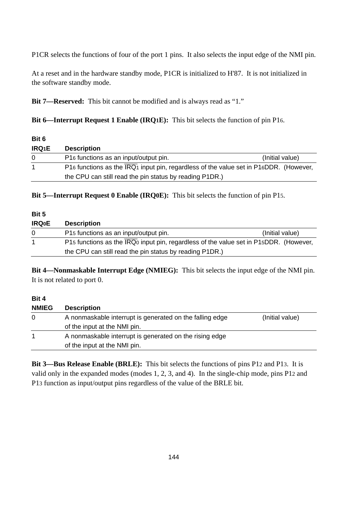P1CR selects the functions of four of the port 1 pins. It also selects the input edge of the NMI pin.

At a reset and in the hardware standby mode, P1CR is initialized to H'87. It is not initialized in the software standby mode.

**Bit 7—Reserved:** This bit cannot be modified and is always read as "1."

**Bit 6—Interrupt Request 1 Enable (IRQ1E):** This bit selects the function of pin P16.

| Bit 6        |                                                                                                            |                 |
|--------------|------------------------------------------------------------------------------------------------------------|-----------------|
| <b>IRQ1E</b> | <b>Description</b>                                                                                         |                 |
| 0            | P16 functions as an input/output pin.                                                                      | (Initial value) |
| 1            | P16 functions as the $\overline{\text{IRQ}}_1$ input pin, regardless of the value set in P16DDR. (However, |                 |
|              | the CPU can still read the pin status by reading P1DR.)                                                    |                 |

**Bit 5—Interrupt Request 0 Enable (IRQ0E):** This bit selects the function of pin P15.

| Bit 5        |                                                                                      |                 |  |  |  |
|--------------|--------------------------------------------------------------------------------------|-----------------|--|--|--|
| <b>IRQ0E</b> | <b>Description</b>                                                                   |                 |  |  |  |
|              | P15 functions as an input/output pin.                                                | (Initial value) |  |  |  |
| 1            | P15 functions as the IRQ input pin, regardless of the value set in P15DDR. (However, |                 |  |  |  |
|              | the CPU can still read the pin status by reading P1DR.)                              |                 |  |  |  |

**Bit 4—Nonmaskable Interrupt Edge (NMIEG):** This bit selects the input edge of the NMI pin. It is not related to port 0.

#### **Bit 4**

| <b>NMIEG</b> | <b>Description</b>                                                          |  |  |  |  |
|--------------|-----------------------------------------------------------------------------|--|--|--|--|
| 0            | A nonmaskable interrupt is generated on the falling edge<br>(Initial value) |  |  |  |  |
|              | of the input at the NMI pin.                                                |  |  |  |  |
|              | A nonmaskable interrupt is generated on the rising edge                     |  |  |  |  |
|              | of the input at the NMI pin.                                                |  |  |  |  |

**Bit 3—Bus Release Enable (BRLE):** This bit selects the functions of pins P12 and P13. It is valid only in the expanded modes (modes 1, 2, 3, and 4). In the single-chip mode, pins P12 and P13 function as input/output pins regardless of the value of the BRLE bit.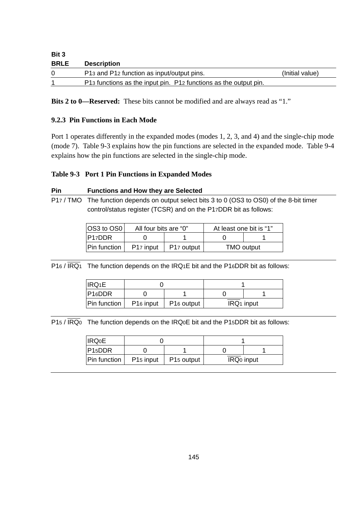| Bit 3       |                                                                  |                 |
|-------------|------------------------------------------------------------------|-----------------|
| <b>BRLE</b> | <b>Description</b>                                               |                 |
| $\Omega$    | P13 and P12 function as input/output pins.                       | (Initial value) |
|             | P13 functions as the input pin. P12 functions as the output pin. |                 |

**Bits 2 to 0—Reserved:** These bits cannot be modified and are always read as "1."

### **9.2.3 Pin Functions in Each Mode**

Port 1 operates differently in the expanded modes (modes 1, 2, 3, and 4) and the single-chip mode (mode 7). Table 9-3 explains how the pin functions are selected in the expanded mode. Table 9-4 explains how the pin functions are selected in the single-chip mode.

## **Table 9-3 Port 1 Pin Functions in Expanded Modes**

#### **Pin Functions and How they are Selected**

P17 / TMO The function depends on output select bits 3 to 0 (OS3 to OS0) of the 8-bit timer control/status register (TCSR) and on the P17DDR bit as follows:

| $ OS3 \text{ to } OS0 $ | All four bits are "0" |                        | At least one bit is "1" |            |  |
|-------------------------|-----------------------|------------------------|-------------------------|------------|--|
| P17DDR                  |                       |                        |                         |            |  |
| Pin function            | P <sub>17</sub> input | P <sub>17</sub> output |                         | TMO output |  |

 $P16 / \overline{IRQ1}$  The function depends on the IRQ1E bit and the P16DDR bit as follows:

| 'IRQ1E              |                       |                        |  |                        |
|---------------------|-----------------------|------------------------|--|------------------------|
| P <sub>16</sub> DDR |                       |                        |  |                        |
| Pin function        | P <sub>16</sub> input | P <sub>16</sub> output |  | IRQ <sub>1</sub> input |

 $P15 / \overline{\text{IRQ}}_0$  The function depends on the IRQ0E bit and the P15DDR bit as follows:

| <b>IRQ0E</b> |                       |                        |  |                        |
|--------------|-----------------------|------------------------|--|------------------------|
| P15DDR       |                       |                        |  |                        |
| Pin function | P <sub>15</sub> input | P <sub>15</sub> output |  | IRQ <sub>0</sub> input |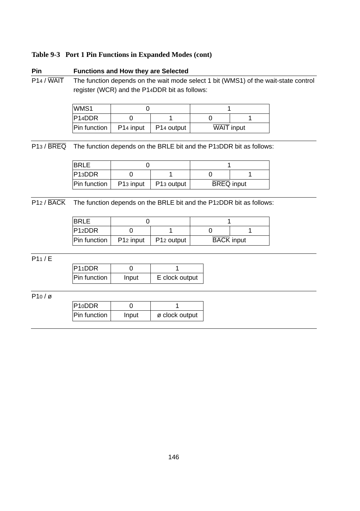#### **Table 9-3 Port 1 Pin Functions in Expanded Modes (cont)**

# **Pin Functions and How they are Selected** P14 / WAIT The function depends on the wait mode select 1 bit (WMS1) of the wait-state control register (WCR) and the P14DDR bit as follows:

| WMS1                |                       |                        |                   |  |
|---------------------|-----------------------|------------------------|-------------------|--|
| P <sub>14</sub> DDR |                       |                        |                   |  |
| Pin function        | P <sub>14</sub> input | P <sub>14</sub> output | <b>WAIT</b> input |  |

P13 / BREQ The function depends on the BRLE bit and the P13DDR bit as follows:

| <b>BRLE</b>  |                       |                        |                   |  |
|--------------|-----------------------|------------------------|-------------------|--|
| PA3DDR       |                       |                        |                   |  |
| Pin function | P <sub>13</sub> input | P <sub>13</sub> output | <b>BREQ</b> input |  |

P12 / BACK The function depends on the BRLE bit and the P12DDR bit as follows:

| <b>BRIF</b>         |                       |                        |                   |  |
|---------------------|-----------------------|------------------------|-------------------|--|
| P12DDR              |                       |                        |                   |  |
| <b>Pin function</b> | P <sub>12</sub> input | P <sub>12</sub> output | <b>BACK</b> input |  |

P11 / E

| $PI1$ DDR    |       |                |
|--------------|-------|----------------|
| Pin function | Input | E clock output |

P10 / ø

| P10DDR       |       |                |
|--------------|-------|----------------|
| Pin function | Input | ø clock output |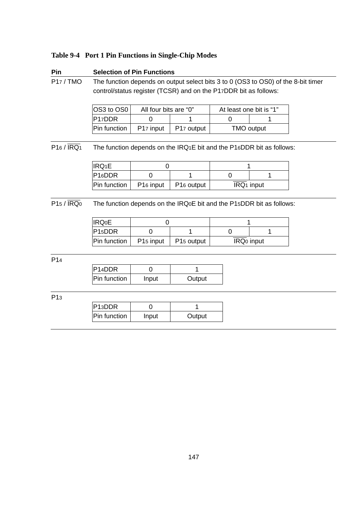### **Table 9-4 Port 1 Pin Functions in Single-Chip Modes**

#### **Pin Selection of Pin Functions**

P17 / TMO The function depends on output select bits 3 to 0 (OS3 to OS0) of the 8-bit timer control/status register (TCSR) and on the P17DDR bit as follows:

| <b>OS3 to OS0</b>   | All four bits are "0" |                        | At least one bit is "1" |  |
|---------------------|-----------------------|------------------------|-------------------------|--|
| P <sub>17</sub> DDR |                       |                        |                         |  |
| <b>Pin function</b> | P <sub>17</sub> input | P <sub>17</sub> output | TMO output              |  |

 $\overline{P16 / \overline{IRQ}}$  The function depends on the IRQ1E bit and the P16DDR bit as follows:

| IRQ <sub>1</sub> E  |                       |                        |                        |  |
|---------------------|-----------------------|------------------------|------------------------|--|
| P16DDR              |                       |                        |                        |  |
| <b>Pin function</b> | P <sub>16</sub> input | P <sub>16</sub> output | IRQ <sub>1</sub> input |  |

P15 /  $\overline{\text{IRQ}_0}$  The function depends on the IRQ0E bit and the P15DDR bit as follows:

| <b>IRQ0E</b>        |                       |                        |                        |  |
|---------------------|-----------------------|------------------------|------------------------|--|
| P <sub>15</sub> DDR |                       |                        |                        |  |
| Pin function        | P <sub>15</sub> input | P <sub>15</sub> output | IRQ <sub>0</sub> input |  |

P14

| P <sub>14</sub> DDR |       |        |
|---------------------|-------|--------|
| Pin function        | Input | Output |

P13

| P <sub>13</sub> DDR |       |        |
|---------------------|-------|--------|
| Pin function        | Input | Output |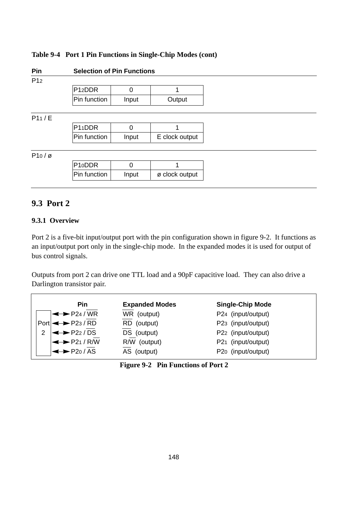### **Table 9-4 Port 1 Pin Functions in Single-Chip Modes (cont)**

**Pin Selection of Pin Functions**

| I<br>I |  |
|--------|--|
|--------|--|

| P <sub>12</sub> D <sub>DR</sub> |       |        |
|---------------------------------|-------|--------|
| Pin function                    | Input | Output |

#### P11 / E

| P11DDR              |       |                |
|---------------------|-------|----------------|
| <b>Pin function</b> | Input | E clock output |

P10 / ø

| P10DDR       |       |                |
|--------------|-------|----------------|
| Pin function | Input | ø clock output |

# **9.3 Port 2**

#### **9.3.1 Overview**

Port 2 is a five-bit input/output port with the pin configuration shown in figure 9-2. It functions as an input/output port only in the single-chip mode. In the expanded modes it is used for output of bus control signals.

Outputs from port 2 can drive one TTL load and a 90pF capacitive load. They can also drive a Darlington transistor pair.

| Pin                         | <b>Expanded Modes</b> | <b>Single-Chip Mode</b> |
|-----------------------------|-----------------------|-------------------------|
| $\leftrightarrow$ P24 / WR  | WR (output)           | P24 (input/output)      |
| $Port \rightarrow P23 / RD$ | RD (output)           | P23 (input/output)      |
| 2 $\leftrightarrow$ P22/DS  | DS (output)           | P22 (input/output)      |
| $\leftrightarrow$ P21/R/W   | R/W (output)          | P21 (input/output)      |
| $\leftrightarrow$ P20/AS    | AS (output)           | P20 (input/output)      |

|  | Figure 9-2 Pin Functions of Port 2 |  |
|--|------------------------------------|--|
|--|------------------------------------|--|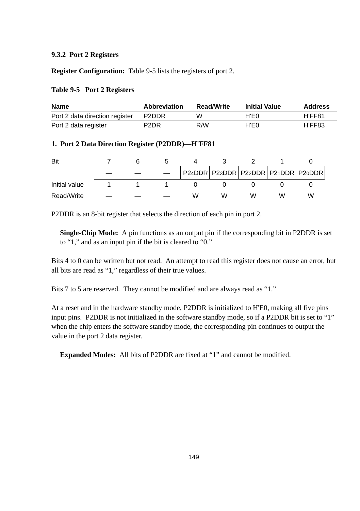#### **9.3.2 Port 2 Registers**

**Register Configuration:** Table 9-5 lists the registers of port 2.

#### **Table 9-5 Port 2 Registers**

| <b>Name</b>                    | <b>Abbreviation</b> | <b>Read/Write</b> | <b>Initial Value</b> | <b>Address</b> |
|--------------------------------|---------------------|-------------------|----------------------|----------------|
| Port 2 data direction register | P2DDR               | w                 | H'E0                 | H'FF81         |
| Port 2 data register           | P <sub>2</sub> DR   | R/W               | H'E0                 | H'FF83         |

#### **1. Port 2 Data Direction Register (P2DDR)—H'FF81**

| Bit           |  |   |   |   |   |                                            |
|---------------|--|---|---|---|---|--------------------------------------------|
|               |  |   |   |   |   | P24DDR   P23DDR   P22DDR   P21DDR   P20DDR |
| Initial value |  |   |   |   |   |                                            |
| Read/Write    |  | w | w | w | w | W                                          |

P2DDR is an 8-bit register that selects the direction of each pin in port 2.

**Single-Chip Mode:** A pin functions as an output pin if the corresponding bit in P2DDR is set to "1," and as an input pin if the bit is cleared to "0."

Bits 4 to 0 can be written but not read. An attempt to read this register does not cause an error, but all bits are read as "1," regardless of their true values.

Bits 7 to 5 are reserved. They cannot be modified and are always read as "1."

At a reset and in the hardware standby mode, P2DDR is initialized to H'E0, making all five pins input pins. P2DDR is not initialized in the software standby mode, so if a P2DDR bit is set to "1" when the chip enters the software standby mode, the corresponding pin continues to output the value in the port 2 data register.

**Expanded Modes:** All bits of P2DDR are fixed at "1" and cannot be modified.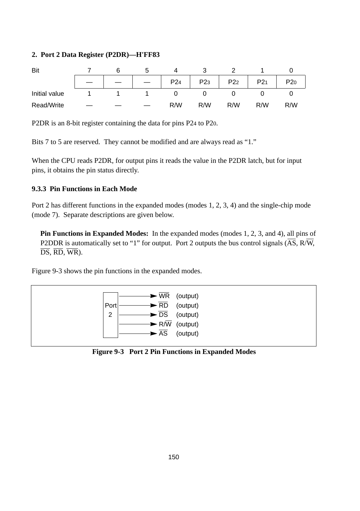#### **2. Port 2 Data Register (P2DR)—H'FF83**

| Bit           | 6 |                 |                 |                 |     |     |
|---------------|---|-----------------|-----------------|-----------------|-----|-----|
|               |   | P <sub>24</sub> | P <sub>23</sub> | P <sub>22</sub> | P21 | P20 |
| Initial value |   |                 |                 |                 |     |     |
| Read/Write    |   | R/W             | R/W             | R/W             | R/W | R/W |

P2DR is an 8-bit register containing the data for pins P24 to P20.

Bits 7 to 5 are reserved. They cannot be modified and are always read as "1."

When the CPU reads P2DR, for output pins it reads the value in the P2DR latch, but for input pins, it obtains the pin status directly.

#### **9.3.3 Pin Functions in Each Mode**

Port 2 has different functions in the expanded modes (modes 1, 2, 3, 4) and the single-chip mode (mode 7). Separate descriptions are given below.

**Pin Functions in Expanded Modes:** In the expanded modes (modes 1, 2, 3, and 4), all pins of P2DDR is automatically set to "1" for output. Port 2 outputs the bus control signals  $(\overline{AS}, R/\overline{W})$ ,  $\overline{\text{DS}}, \overline{\text{RD}}, \overline{\text{WR}}$ ).

Figure 9-3 shows the pin functions in the expanded modes.



**Figure 9-3 Port 2 Pin Functions in Expanded Modes**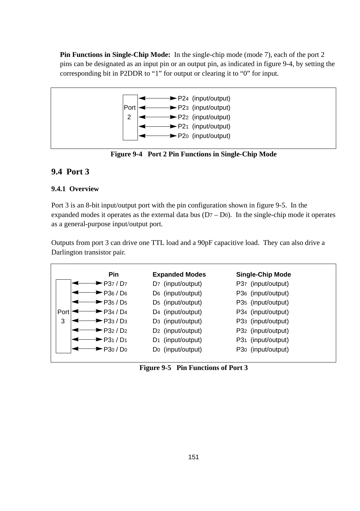**Pin Functions in Single-Chip Mode:** In the single-chip mode (mode 7), each of the port 2 pins can be designated as an input pin or an output pin, as indicated in figure 9-4, by setting the corresponding bit in P2DDR to "1" for output or clearing it to "0" for input.



**Figure 9-4 Port 2 Pin Functions in Single-Chip Mode**

# **9.4 Port 3**

## **9.4.1 Overview**

Port 3 is an 8-bit input/output port with the pin configuration shown in figure 9-5. In the expanded modes it operates as the external data bus  $(D7 - Do)$ . In the single-chip mode it operates as a general-purpose input/output port.

Outputs from port 3 can drive one TTL load and a 90pF capacitive load. They can also drive a Darlington transistor pair.

| $\blacktriangleright$ P37 / D7<br>D7 (input/output)<br>P37 (input/output)                  |                    |
|--------------------------------------------------------------------------------------------|--------------------|
|                                                                                            |                    |
| P36 / D6<br>D <sub>6</sub> (input/output)                                                  | P36 (input/output) |
| $\blacktriangleright$ P35 / D5<br>D <sub>5</sub> (input/output)<br>P35 (input/output)      |                    |
| P34 / D4<br>D <sub>4</sub> (input/output)<br>P34 (input/output)<br>Port                    |                    |
| 3<br>$\blacktriangleright$ P33 / D3<br>D <sub>3</sub> (input/output)<br>P33 (input/output) |                    |
| $\blacktriangleright$ P32 / D2<br>D <sub>2</sub> (input/output)<br>P32 (input/output)      |                    |
| P31 / D1<br>(input/output)<br>P31 (input/output)<br>D1                                     |                    |
| P30 / D0<br>Do (input/output)<br>P30 (input/output)                                        |                    |

**Figure 9-5 Pin Functions of Port 3**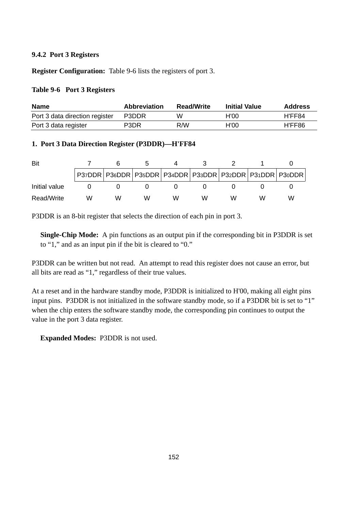#### **9.4.2 Port 3 Registers**

**Register Configuration:** Table 9-6 lists the registers of port 3.

#### **Table 9-6 Port 3 Registers**

| <b>Name</b>                    | <b>Abbreviation</b> | <b>Read/Write</b> | <b>Initial Value</b> | Address |
|--------------------------------|---------------------|-------------------|----------------------|---------|
| Port 3 data direction register | P3DDR               | w                 | H'OO                 | H'FF84  |
| Port 3 data register           | P3DR                | R/W               | H'OO                 | H'FF86  |

#### **1. Port 3 Data Direction Register (P3DDR)—H'FF84**

| Bit           |   |   |   |   |   |  |                                                                       |
|---------------|---|---|---|---|---|--|-----------------------------------------------------------------------|
|               |   |   |   |   |   |  | P37DDR   P36DDR   P35DDR   P34DDR   P33DDR   P32DDR   P31DDR   P30DDR |
| Initial value |   |   |   |   |   |  |                                                                       |
| Read/Write    | w | w | w | w | w |  | w                                                                     |

P3DDR is an 8-bit register that selects the direction of each pin in port 3.

**Single-Chip Mode:** A pin functions as an output pin if the corresponding bit in P3DDR is set to "1," and as an input pin if the bit is cleared to "0."

P3DDR can be written but not read. An attempt to read this register does not cause an error, but all bits are read as "1," regardless of their true values.

At a reset and in the hardware standby mode, P3DDR is initialized to H'00, making all eight pins input pins. P3DDR is not initialized in the software standby mode, so if a P3DDR bit is set to "1" when the chip enters the software standby mode, the corresponding pin continues to output the value in the port 3 data register.

**Expanded Modes:** P3DDR is not used.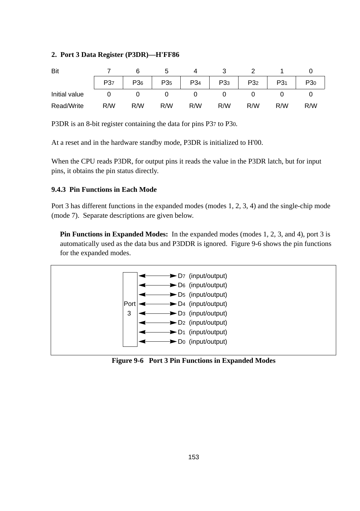#### **2. Port 3 Data Register (P3DR)—H'FF86**

| Bit           |                 |     |                 |                 |                 |                 |                 |     |
|---------------|-----------------|-----|-----------------|-----------------|-----------------|-----------------|-----------------|-----|
|               | P <sub>37</sub> | P36 | P <sub>35</sub> | P <sub>34</sub> | P <sub>33</sub> | P <sub>32</sub> | P3 <sub>1</sub> | P30 |
| Initial value |                 |     |                 |                 |                 |                 |                 |     |
| Read/Write    | R/W             | R/W | R/W             | R/W             | R/W             | R/W             | R/W             | R/W |

P3DR is an 8-bit register containing the data for pins P37 to P30.

At a reset and in the hardware standby mode, P3DR is initialized to H'00.

When the CPU reads P3DR, for output pins it reads the value in the P3DR latch, but for input pins, it obtains the pin status directly.

#### **9.4.3 Pin Functions in Each Mode**

Port 3 has different functions in the expanded modes (modes 1, 2, 3, 4) and the single-chip mode (mode 7). Separate descriptions are given below.

**Pin Functions in Expanded Modes:** In the expanded modes (modes 1, 2, 3, and 4), port 3 is automatically used as the data bus and P3DDR is ignored. Figure 9-6 shows the pin functions for the expanded modes.



**Figure 9-6 Port 3 Pin Functions in Expanded Modes**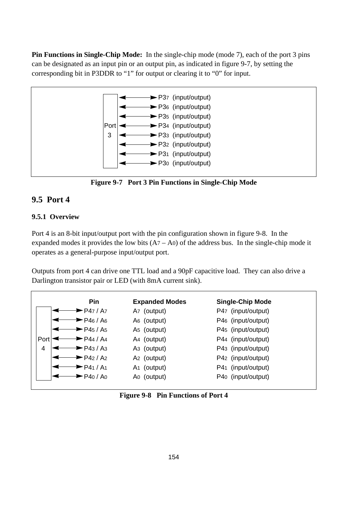**Pin Functions in Single-Chip Mode:** In the single-chip mode (mode 7), each of the port 3 pins can be designated as an input pin or an output pin, as indicated in figure 9-7, by setting the corresponding bit in P3DDR to "1" for output or clearing it to "0" for input.





# **9.5 Port 4**

## **9.5.1 Overview**

Port 4 is an 8-bit input/output port with the pin configuration shown in figure 9-8. In the expanded modes it provides the low bits  $(A7 - A0)$  of the address bus. In the single-chip mode it operates as a general-purpose input/output port.

Outputs from port 4 can drive one TTL load and a 90pF capacitive load. They can also drive a Darlington transistor pair or LED (with 8mA current sink).

|      | <b>Pin</b>                     | <b>Expanded Modes</b>   | <b>Single-Chip Mode</b> |
|------|--------------------------------|-------------------------|-------------------------|
|      | ► P47 / A7                     | A <sub>7</sub> (output) | P47 (input/output)      |
|      | $\blacktriangleright$ P46 / A6 | A <sub>6</sub> (output) | P46 (input/output)      |
|      | $\blacktriangleright$ P45 / A5 | A <sub>5</sub> (output) | P45 (input/output)      |
| Port | ► P44 / A4                     | A <sub>4</sub> (output) | P44 (input/output)      |
| 4    | PA3/A3                         | A <sub>3</sub> (output) | P43 (input/output)      |
|      | $\blacktriangleright$ P42 / A2 | A <sub>2</sub> (output) | P42 (input/output)      |
|      | ► P41 / A1                     | (output)<br>A1          | P41 (input/output)      |
|      | P40 / A0                       | Ao (output)             | P40 (input/output)      |

**Figure 9-8 Pin Functions of Port 4**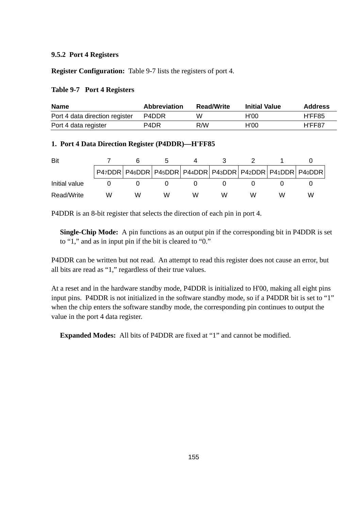#### **9.5.2 Port 4 Registers**

**Register Configuration:** Table 9-7 lists the registers of port 4.

#### **Table 9-7 Port 4 Registers**

| <b>Name</b>                    | <b>Abbreviation</b>           | <b>Read/Write</b> | <b>Initial Value</b> | <b>Address</b> |
|--------------------------------|-------------------------------|-------------------|----------------------|----------------|
| Port 4 data direction register | P4DDR                         | w                 | H'00                 | H'FF85         |
| Port 4 data register           | P <sub>4</sub> D <sub>R</sub> | R/W               | H'00                 | H'FF87         |

#### **1. Port 4 Data Direction Register (P4DDR)—H'FF85**

| Bit           |                                                                       |   |   |   |   |   |   |
|---------------|-----------------------------------------------------------------------|---|---|---|---|---|---|
|               | P47DDR   P46DDR   P45DDR   P44DDR   P43DDR   P42DDR   P41DDR   P40DDR |   |   |   |   |   |   |
| Initial value |                                                                       |   |   |   |   |   |   |
| Read/Write    | ۱٨                                                                    | w | w | w | w | w | w |

P4DDR is an 8-bit register that selects the direction of each pin in port 4.

**Single-Chip Mode:** A pin functions as an output pin if the corresponding bit in P4DDR is set to "1," and as in input pin if the bit is cleared to "0."

P4DDR can be written but not read. An attempt to read this register does not cause an error, but all bits are read as "1," regardless of their true values.

At a reset and in the hardware standby mode, P4DDR is initialized to H'00, making all eight pins input pins. P4DDR is not initialized in the software standby mode, so if a P4DDR bit is set to "1" when the chip enters the software standby mode, the corresponding pin continues to output the value in the port 4 data register.

**Expanded Modes:** All bits of P4DDR are fixed at "1" and cannot be modified.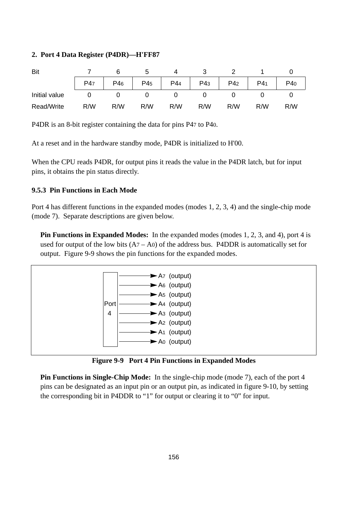#### **2. Port 4 Data Register (P4DR)—H'FF87**

| Bit           |     |     |                 |     |     |                 |                 |     |
|---------------|-----|-----|-----------------|-----|-----|-----------------|-----------------|-----|
|               | P47 | P46 | P4 <sub>5</sub> | P44 | P43 | P4 <sub>2</sub> | P4 <sub>1</sub> | P40 |
| Initial value |     |     |                 |     |     |                 |                 |     |
| Read/Write    | R/W | R/W | R/W             | R/W | R/W | R/W             | R/W             | R/W |

P4DR is an 8-bit register containing the data for pins P47 to P40.

At a reset and in the hardware standby mode, P4DR is initialized to H'00.

When the CPU reads P4DR, for output pins it reads the value in the P4DR latch, but for input pins, it obtains the pin status directly.

#### **9.5.3 Pin Functions in Each Mode**

Port 4 has different functions in the expanded modes (modes 1, 2, 3, 4) and the single-chip mode (mode 7). Separate descriptions are given below.

**Pin Functions in Expanded Modes:** In the expanded modes (modes 1, 2, 3, and 4), port 4 is used for output of the low bits  $(A7 - A0)$  of the address bus. P4DDR is automatically set for output. Figure 9-9 shows the pin functions for the expanded modes.



**Figure 9-9 Port 4 Pin Functions in Expanded Modes**

**Pin Functions in Single-Chip Mode:** In the single-chip mode (mode 7), each of the port 4 pins can be designated as an input pin or an output pin, as indicated in figure 9-10, by setting the corresponding bit in P4DDR to "1" for output or clearing it to "0" for input.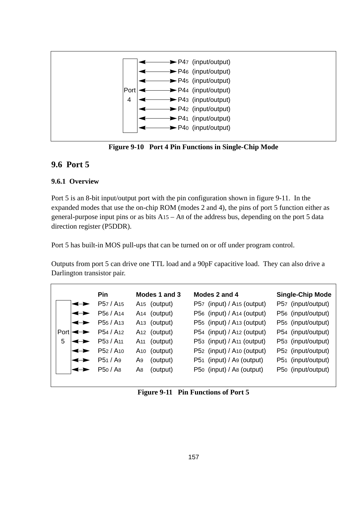

**Figure 9-10 Port 4 Pin Functions in Single-Chip Mode**

# **9.6 Port 5**

# **9.6.1 Overview**

Port 5 is an 8-bit input/output port with the pin configuration shown in figure 9-11. In the expanded modes that use the on-chip ROM (modes 2 and 4), the pins of port 5 function either as general-purpose input pins or as bits A15 – A8 of the address bus, depending on the port 5 data direction register (P5DDR).

Port 5 has built-in MOS pull-ups that can be turned on or off under program control.

Outputs from port 5 can drive one TTL load and a 90pF capacitive load. They can also drive a Darlington transistor pair.

|                    | Pin                               | Modes 1 and 3            | Modes 2 and 4                            | <b>Single-Chip Mode</b> |
|--------------------|-----------------------------------|--------------------------|------------------------------------------|-------------------------|
| $\rightarrow$      | P <sub>57</sub> / A <sub>15</sub> | A <sub>15</sub> (output) | P57 (input) / A <sub>15</sub> (output)   | P57 (input/output)      |
| $\rightarrow$      | P <sub>56</sub> / A <sub>14</sub> | A <sub>14</sub> (output) | P56 (input) / A <sub>14</sub> (output)   | P56 (input/output)      |
| ↞                  | P <sub>55</sub> / A <sub>13</sub> | A <sub>13</sub> (output) | P55 (input) / A <sub>13</sub> (output)   | P55 (input/output)      |
| $Port \rightarrow$ | P <sub>54</sub> / A <sub>12</sub> | A <sub>12</sub> (output) | $P54$ (input) / A <sub>12</sub> (output) | P54 (input/output)      |
| 5<br>←►            | P <sub>53</sub> / A <sub>11</sub> | A <sub>11</sub> (output) | P53 (input) / A <sub>11</sub> (output)   | P53 (input/output)      |
| ←                  | P <sub>52</sub> / A <sub>10</sub> | A <sub>10</sub> (output) | P52 (input) / A <sub>10</sub> (output)   | P52 (input/output)      |
| ←►                 | P51 / Ag                          | (output)<br>A9           | P51 (input) / A9 (output)                | P51 (input/output)      |
|                    | P <sub>50</sub> / A <sub>8</sub>  | (output)<br>A8           | P50 (input) / As (output)                | P50 (input/output)      |
|                    |                                   |                          |                                          |                         |

**Figure 9-11 Pin Functions of Port 5**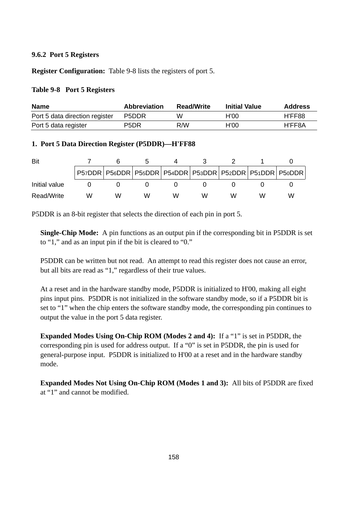#### **9.6.2 Port 5 Registers**

**Register Configuration:** Table 9-8 lists the registers of port 5.

#### **Table 9-8 Port 5 Registers**

| <b>Name</b>                    | <b>Abbreviation</b>           | <b>Read/Write</b> | <b>Initial Value</b> | Address |
|--------------------------------|-------------------------------|-------------------|----------------------|---------|
| Port 5 data direction register | P5DDR                         | w                 | H'OO                 | H'FF88  |
| Port 5 data register           | P <sub>5</sub> D <sub>R</sub> | R/W               | H'OO                 | H'FF8A  |

#### **1. Port 5 Data Direction Register (P5DDR)—H'FF88**

| Bit           |   |   |   |   |   |   |                                                                       |
|---------------|---|---|---|---|---|---|-----------------------------------------------------------------------|
|               |   |   |   |   |   |   | P57DDR   P56DDR   P55DDR   P54DDR   P53DDR   P52DDR   P51DDR   P50DDR |
| Initial value |   |   |   |   |   |   |                                                                       |
| Read/Write    | w | w | w | w | w | w | w                                                                     |

P5DDR is an 8-bit register that selects the direction of each pin in port 5.

**Single-Chip Mode:** A pin functions as an output pin if the corresponding bit in P5DDR is set to "1," and as an input pin if the bit is cleared to "0."

P5DDR can be written but not read. An attempt to read this register does not cause an error, but all bits are read as "1," regardless of their true values.

At a reset and in the hardware standby mode, P5DDR is initialized to H'00, making all eight pins input pins. P5DDR is not initialized in the software standby mode, so if a P5DDR bit is set to "1" when the chip enters the software standby mode, the corresponding pin continues to output the value in the port 5 data register.

**Expanded Modes Using On-Chip ROM (Modes 2 and 4):** If a "1" is set in P5DDR, the corresponding pin is used for address output. If a "0" is set in P5DDR, the pin is used for general-purpose input. P5DDR is initialized to H'00 at a reset and in the hardware standby mode.

**Expanded Modes Not Using On-Chip ROM (Modes 1 and 3):** All bits of P5DDR are fixed at "1" and cannot be modified.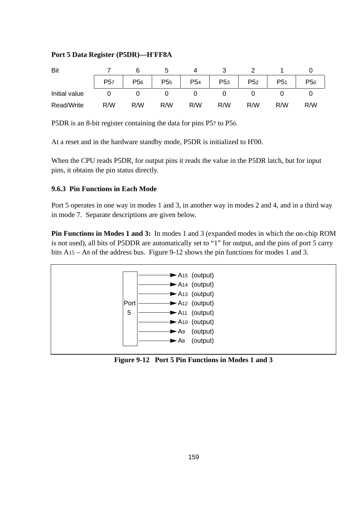### **Port 5 Data Register (P5DR)—H'FF8A**

| Bit           |                 |                 |                 |                 |                 |                 |                 |                 |
|---------------|-----------------|-----------------|-----------------|-----------------|-----------------|-----------------|-----------------|-----------------|
|               | P <sub>57</sub> | P <sub>56</sub> | P <sub>55</sub> | P <sub>54</sub> | P <sub>53</sub> | P <sub>52</sub> | P <sub>51</sub> | P <sub>50</sub> |
| Initial value |                 |                 |                 |                 |                 |                 |                 |                 |
| Read/Write    | R/W             | R/W             | R/W             | R/W             | R/W             | R/W             | R/W             | R/W             |

P5DR is an 8-bit register containing the data for pins P57 to P50.

At a reset and in the hardware standby mode, P5DR is initialized to H'00.

When the CPU reads P5DR, for output pins it reads the value in the P5DR latch, but for input pins, it obtains the pin status directly.

#### **9.6.3 Pin Functions in Each Mode**

Port 5 operates in one way in modes 1 and 3, in another way in modes 2 and 4, and in a third way in mode 7. Separate descriptions are given below.

**Pin Functions in Modes 1 and 3:** In modes 1 and 3 (expanded modes in which the on-chip ROM is not used), all bits of P5DDR are automatically set to "1" for output, and the pins of port 5 carry bits A15 – A8 of the address bus. Figure 9-12 shows the pin functions for modes 1 and 3.



**Figure 9-12 Port 5 Pin Functions in Modes 1 and 3**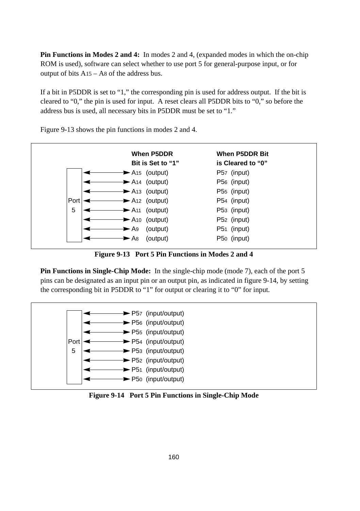**Pin Functions in Modes 2 and 4:** In modes 2 and 4, (expanded modes in which the on-chip ROM is used), software can select whether to use port 5 for general-purpose input, or for output of bits A15 – A8 of the address bus.

If a bit in P5DDR is set to "1," the corresponding pin is used for address output. If the bit is cleared to "0," the pin is used for input. A reset clears all P5DDR bits to "0," so before the address bus is used, all necessary bits in P5DDR must be set to "1."



Figure 9-13 shows the pin functions in modes 2 and 4.

**Figure 9-13 Port 5 Pin Functions in Modes 2 and 4**

**Pin Functions in Single-Chip Mode:** In the single-chip mode (mode 7), each of the port 5 pins can be designated as an input pin or an output pin, as indicated in figure 9-14, by setting the corresponding bit in P5DDR to "1" for output or clearing it to "0" for input.



**Figure 9-14 Port 5 Pin Functions in Single-Chip Mode**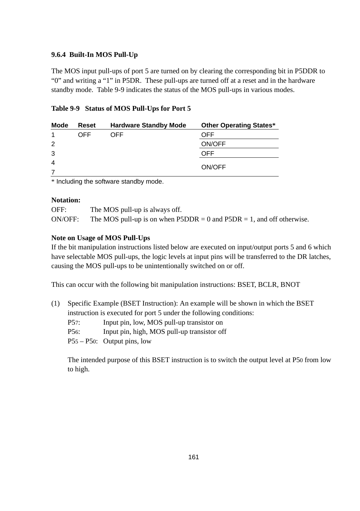### **9.6.4 Built-In MOS Pull-Up**

The MOS input pull-ups of port 5 are turned on by clearing the corresponding bit in P5DDR to "0" and writing a "1" in P5DR. These pull-ups are turned off at a reset and in the hardware standby mode. Table 9-9 indicates the status of the MOS pull-ups in various modes.

#### **Table 9-9 Status of MOS Pull-Ups for Port 5**

| Mode           | Reset | <b>Hardware Standby Mode</b> | <b>Other Operating States*</b> |
|----------------|-------|------------------------------|--------------------------------|
|                | OFF   | OFF                          | <b>OFF</b>                     |
| 2              |       |                              | ON/OFF                         |
| 3              |       |                              | OFF                            |
| $\overline{4}$ |       |                              | ON/OFF                         |
|                |       |                              |                                |

\* Including the software standby mode.

#### **Notation:**

| OFF:    | The MOS pull-up is always off.                                                           |
|---------|------------------------------------------------------------------------------------------|
| ON/OFF: | The MOS pull-up is on when $\text{P5DDR} = 0$ and $\text{P5DR} = 1$ , and off otherwise. |

#### **Note on Usage of MOS Pull-Ups**

If the bit manipulation instructions listed below are executed on input/output ports 5 and 6 which have selectable MOS pull-ups, the logic levels at input pins will be transferred to the DR latches, causing the MOS pull-ups to be unintentionally switched on or off.

This can occur with the following bit manipulation instructions: BSET, BCLR, BNOT

(1) Specific Example (BSET Instruction): An example will be shown in which the BSET instruction is executed for port 5 under the following conditions: P57: Input pin, low, MOS pull-up transistor on P56: Input pin, high, MOS pull-up transistor off P55 – P50: Output pins, low

The intended purpose of this BSET instruction is to switch the output level at P50 from low to high.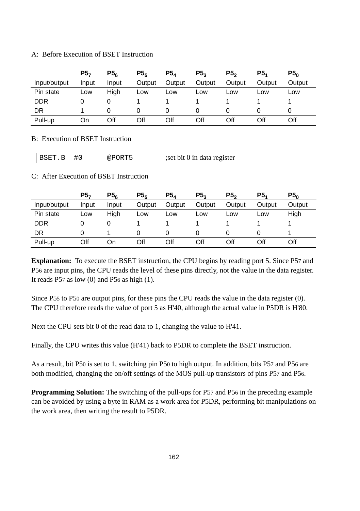#### A: Before Execution of BSET Instruction

|              | P5-   | $P5_{\kappa}$ | P5 <sub>5</sub> | $P5_A$ | P5 <sub>3</sub> | P <sub>5</sub> | P <sub>5</sub> | P5 <sub>0</sub> |
|--------------|-------|---------------|-----------------|--------|-----------------|----------------|----------------|-----------------|
| Input/output | Input | Input         | Output          | Output | Output          | Output         | Output         | Output          |
| Pin state    | LOW   | Hiah          | Low             | Low    | Low             | Low            | Low            | Low             |
| <b>DDR</b>   |       |               |                 |        |                 |                |                |                 |
| DR           |       |               |                 |        |                 |                |                |                 |
| Pull-up      | On    | Off           | Off             | Off    | Off             | Off            | Off            | Off             |

#### B: Execution of BSET Instruction

BSET.B #0 @PORT5 ;set bit 0 in data register

#### C: After Execution of BSET Instruction

|              | P5 <sub>7</sub> | P5 <sub>6</sub> | P5 <sub>5</sub> | P5,    | P5 <sub>2</sub> | P5 <sub>2</sub> | P <sub>5</sub> | P5 <sub>0</sub> |
|--------------|-----------------|-----------------|-----------------|--------|-----------------|-----------------|----------------|-----------------|
| Input/output | Input           | Input           | Output          | Output | Output          | Output          | Output         | Output          |
| Pin state    | LOW             | Hiah            | Low             | Low    | Low             | Low             | Low            | High            |
| <b>DDR</b>   |                 |                 |                 |        |                 |                 |                |                 |
| DR           |                 |                 |                 |        |                 |                 |                |                 |
| Pull-up      | Off             | On              | Off             | Off    | Off             | Off             | Off            | Off             |

**Explanation:** To execute the BSET instruction, the CPU begins by reading port 5. Since P57 and P56 are input pins, the CPU reads the level of these pins directly, not the value in the data register. It reads  $P57$  as low (0) and  $P56$  as high (1).

Since P55 to P50 are output pins, for these pins the CPU reads the value in the data register (0). The CPU therefore reads the value of port 5 as H'40, although the actual value in P5DR is H'80.

Next the CPU sets bit 0 of the read data to 1, changing the value to H'41.

Finally, the CPU writes this value (H'41) back to P5DR to complete the BSET instruction.

As a result, bit P50 is set to 1, switching pin P50 to high output. In addition, bits P57 and P56 are both modified, changing the on/off settings of the MOS pull-up transistors of pins P57 and P56.

**Programming Solution:** The switching of the pull-ups for P57 and P56 in the preceding example can be avoided by using a byte in RAM as a work area for P5DR, performing bit manipulations on the work area, then writing the result to P5DR.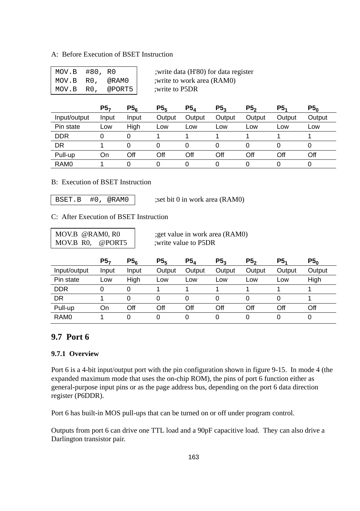#### A: Before Execution of BSET Instruction

| $MOV.B$ #80, $R0$ |        |
|-------------------|--------|
| MOV.B RO.         | @RAM0  |
| MOV.B RO.         | @PORT5 |

write data (H'80) for data register ; write to work area (RAM0) : write to P5DR

|                  | P5,   | P5 <sub>6</sub> | P5 <sub>5</sub> | $P5_4$ | P5 <sub>3</sub> | P5 <sub>2</sub> | P <sub>5</sub> | P5 <sub>0</sub> |
|------------------|-------|-----------------|-----------------|--------|-----------------|-----------------|----------------|-----------------|
| Input/output     | Input | Input           | Output          | Output | Output          | Output          | Output         | Output          |
| Pin state        | LOW   | High            | Low             | Low    | Low             | Low             | Low            | Low             |
| <b>DDR</b>       | 0     |                 |                 |        |                 |                 |                |                 |
| DR               |       |                 |                 |        |                 |                 |                | 0               |
| Pull-up          | On    | Off             | Off             | Off    | Off             | Off             | Off            | Off             |
| RAM <sub>0</sub> |       |                 |                 |        |                 |                 |                | ი               |

#### B: Execution of BSET Instruction

BSET.B  $#0$ , @RAM0  $|$  :set bit 0 in work area (RAM0)

#### C: After Execution of BSET Instruction

MOV.B R0, @PORT5 :write value to P5DR

MOV.B  $\omega$ RAM0, R0 ;get value in work area (RAM0)

|                  | P5 <sub>7</sub> | P5 <sub>6</sub> | P5 <sub>5</sub> | $P5_A$ | P5 <sub>3</sub> | P5 <sub>2</sub> | P5.    | P5 <sub>0</sub> |
|------------------|-----------------|-----------------|-----------------|--------|-----------------|-----------------|--------|-----------------|
| Input/output     | Input           | Input           | Output          | Output | Output          | Output          | Output | Output          |
| Pin state        | Low             | Hiah            | Low             | Low    | Low             | Low             | Low    | High            |
| <b>DDR</b>       | ი               | 0               |                 |        |                 |                 |        |                 |
| DR               |                 | 0               | $\Omega$        | 0      | 0               |                 | 0      |                 |
| Pull-up          | On              | Off             | Off             | Off    | Off             | Off             | Off    | Off             |
| RAM <sub>0</sub> |                 |                 | 0               | 0      | 0               |                 | ი      | 0               |

# **9.7 Port 6**

# **9.7.1 Overview**

Port 6 is a 4-bit input/output port with the pin configuration shown in figure 9-15. In mode 4 (the expanded maximum mode that uses the on-chip ROM), the pins of port 6 function either as general-purpose input pins or as the page address bus, depending on the port 6 data direction register (P6DDR).

Port 6 has built-in MOS pull-ups that can be turned on or off under program control.

Outputs from port 6 can drive one TTL load and a 90pF capacitive load. They can also drive a Darlington transistor pair.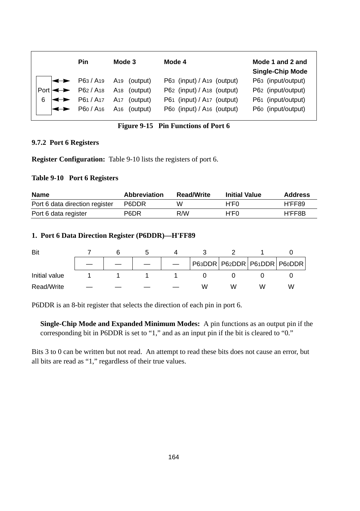| Pin                         | Mode 3                                               | Mode 4                                 | Mode 1 and 2 and<br><b>Single-Chip Mode</b> |
|-----------------------------|------------------------------------------------------|----------------------------------------|---------------------------------------------|
|                             | $\left  \rightarrow \right $ P63 / A19 A19 (output)  | P63 (input) / A19 (output)             | P63 (input/output)                          |
|                             | $\text{Port}$ $\leftrightarrow$ P62/A18 A18 (output) | P62 (input) / A <sub>18</sub> (output) | P62 (input/output)                          |
| 6 $\leftrightarrow$ P61/A17 | A <sub>17</sub> (output)                             | P61 (input) / A17 (output)             | P61 (input/output)                          |
|                             | $\left  \rightleftharpoons$ P60/A16 A16 (output)     | P60 (input) / A16 (output)             | P60 (input/output)                          |

# **Figure 9-15 Pin Functions of Port 6**

#### **9.7.2 Port 6 Registers**

**Register Configuration:** Table 9-10 lists the registers of port 6.

#### **Table 9-10 Port 6 Registers**

| Name                           | <b>Abbreviation</b> | <b>Read/Write</b> | <b>Initial Value</b> | <b>Address</b> |
|--------------------------------|---------------------|-------------------|----------------------|----------------|
| Port 6 data direction register | P6DDR               | w                 | H'F0                 | H'FF89         |
| Port 6 data register           | P6DR                | R/W               | H'F0                 | H'FF8B         |

#### **1. Port 6 Data Direction Register (P6DDR)—H'FF89**

| Bit           |  |  |   |   |   |                                   |
|---------------|--|--|---|---|---|-----------------------------------|
|               |  |  |   |   |   | P63DDR   P62DDR   P61DDR   P60DDR |
| Initial value |  |  |   |   |   |                                   |
| Read/Write    |  |  | w | W | w | W                                 |

P6DDR is an 8-bit register that selects the direction of each pin in port 6.

**Single-Chip Mode and Expanded Minimum Modes:** A pin functions as an output pin if the corresponding bit in P6DDR is set to "1," and as an input pin if the bit is cleared to "0."

Bits 3 to 0 can be written but not read. An attempt to read these bits does not cause an error, but all bits are read as "1," regardless of their true values.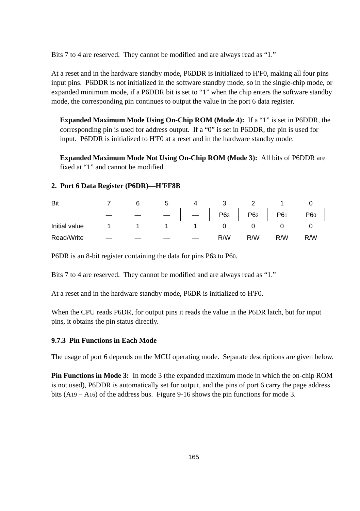Bits 7 to 4 are reserved. They cannot be modified and are always read as "1."

At a reset and in the hardware standby mode, P6DDR is initialized to H'F0, making all four pins input pins. P6DDR is not initialized in the software standby mode, so in the single-chip mode, or expanded minimum mode, if a P6DDR bit is set to "1" when the chip enters the software standby mode, the corresponding pin continues to output the value in the port 6 data register.

**Expanded Maximum Mode Using On-Chip ROM (Mode 4):** If a "1" is set in P6DDR, the corresponding pin is used for address output. If a "0" is set in P6DDR, the pin is used for input. P6DDR is initialized to H'F0 at a reset and in the hardware standby mode.

**Expanded Maximum Mode Not Using On-Chip ROM (Mode 3):** All bits of P6DDR are fixed at "1" and cannot be modified.

#### **2. Port 6 Data Register (P6DR)—H'FF8B**

| Bit           |  |  |     |                 |     |                 |
|---------------|--|--|-----|-----------------|-----|-----------------|
|               |  |  | P63 | P <sub>62</sub> | P61 | P <sub>60</sub> |
| Initial value |  |  |     |                 |     |                 |
| Read/Write    |  |  | R/W | R/W             | R/W | R/W             |

P6DR is an 8-bit register containing the data for pins P63 to P60.

Bits 7 to 4 are reserved. They cannot be modified and are always read as "1."

At a reset and in the hardware standby mode, P6DR is initialized to H'F0.

When the CPU reads P6DR, for output pins it reads the value in the P6DR latch, but for input pins, it obtains the pin status directly.

#### **9.7.3 Pin Functions in Each Mode**

The usage of port 6 depends on the MCU operating mode. Separate descriptions are given below.

**Pin Functions in Mode 3:** In mode 3 (the expanded maximum mode in which the on-chip ROM is not used), P6DDR is automatically set for output, and the pins of port 6 carry the page address bits  $(A19 - A16)$  of the address bus. Figure 9-16 shows the pin functions for mode 3.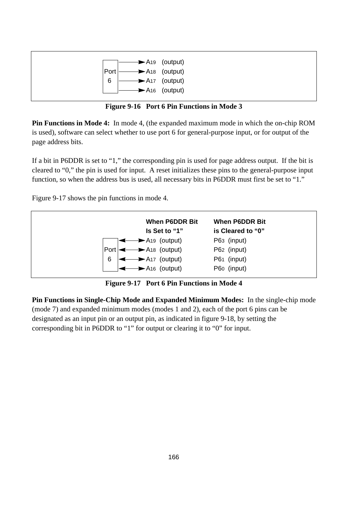

**Figure 9-16 Port 6 Pin Functions in Mode 3**

**Pin Functions in Mode 4:** In mode 4, (the expanded maximum mode in which the on-chip ROM is used), software can select whether to use port 6 for general-purpose input, or for output of the page address bits.

If a bit in P6DDR is set to "1," the corresponding pin is used for page address output. If the bit is cleared to "0," the pin is used for input. A reset initializes these pins to the general-purpose input function, so when the address bus is used, all necessary bits in P6DDR must first be set to "1."

Figure 9-17 shows the pin functions in mode 4.



**Figure 9-17 Port 6 Pin Functions in Mode 4**

**Pin Functions in Single-Chip Mode and Expanded Minimum Modes:** In the single-chip mode (mode 7) and expanded minimum modes (modes 1 and 2), each of the port 6 pins can be designated as an input pin or an output pin, as indicated in figure 9-18, by setting the corresponding bit in P6DDR to "1" for output or clearing it to "0" for input.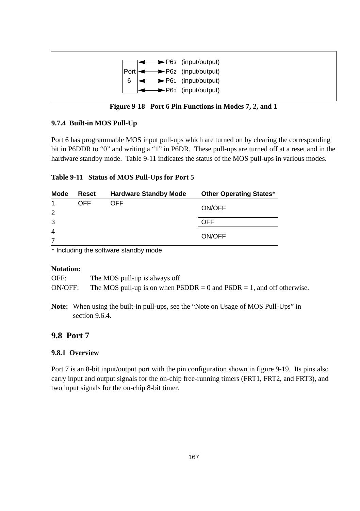

**Figure 9-18 Port 6 Pin Functions in Modes 7, 2, and 1**

# **9.7.4 Built-in MOS Pull-Up**

Port 6 has programmable MOS input pull-ups which are turned on by clearing the corresponding bit in P6DDR to "0" and writing a "1" in P6DR. These pull-ups are turned off at a reset and in the hardware standby mode. Table 9-11 indicates the status of the MOS pull-ups in various modes.

# **Table 9-11 Status of MOS Pull-Ups for Port 5**

| Mode           | Reset | <b>Hardware Standby Mode</b> | <b>Other Operating States*</b> |  |  |
|----------------|-------|------------------------------|--------------------------------|--|--|
|                | OFF   | OFF                          |                                |  |  |
| 2              |       |                              | ON/OFF                         |  |  |
| 3              |       |                              | OFF                            |  |  |
| $\overline{4}$ |       |                              |                                |  |  |
|                |       |                              | ON/OFF                         |  |  |

\* Including the software standby mode.

#### **Notation:**

OFF: The MOS pull-up is always off. ON/OFF: The MOS pull-up is on when  $P6DDR = 0$  and  $P6DR = 1$ , and off otherwise.

**Note:** When using the built-in pull-ups, see the "Note on Usage of MOS Pull-Ups" in section 9.6.4.

# **9.8 Port 7**

# **9.8.1 Overview**

Port 7 is an 8-bit input/output port with the pin configuration shown in figure 9-19. Its pins also carry input and output signals for the on-chip free-running timers (FRT1, FRT2, and FRT3), and two input signals for the on-chip 8-bit timer.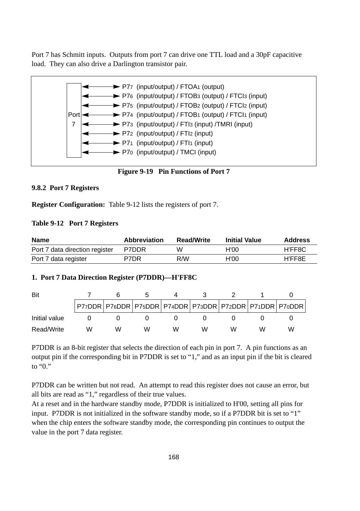Port 7 has Schmitt inputs. Outputs from port 7 can drive one TTL load and a 30pF capacitive load. They can also drive a Darlington transistor pair.



**Figure 9-19 Pin Functions of Port 7**

#### **9.8.2 Port 7 Registers**

**Register Configuration:** Table 9-12 lists the registers of port 7.

#### **Table 9-12 Port 7 Registers**

| <b>Name</b>                    | <b>Abbreviation</b> | <b>Read/Write</b> | <b>Initial Value</b> | Address |
|--------------------------------|---------------------|-------------------|----------------------|---------|
| Port 7 data direction register | P7DDR               | w                 | H'00                 | H'FF8C  |
| Port 7 data register           | P7DR                | R/W               | H'00                 | H'FF8E  |

#### **1. Port 7 Data Direction Register (P7DDR)—H'FF8C**

| Bit           |   |   |   |   |   |  |                                                                       |
|---------------|---|---|---|---|---|--|-----------------------------------------------------------------------|
|               |   |   |   |   |   |  | P77DDR   P76DDR   P75DDR   P74DDR   P73DDR   P72DDR   P71DDR   P70DDR |
| Initial value |   |   |   |   |   |  |                                                                       |
| Read/Write    | w | w | w | w | w |  | w                                                                     |

P7DDR is an 8-bit register that selects the direction of each pin in port 7. A pin functions as an output pin if the corresponding bit in P7DDR is set to "1," and as an input pin if the bit is cleared to "0."

P7DDR can be written but not read. An attempt to read this register does not cause an error, but all bits are read as "1," regardless of their true values.

At a reset and in the hardware standby mode, P7DDR is initialized to H'00, setting all pins for input. P7DDR is not initialized in the software standby mode, so if a P7DDR bit is set to "1" when the chip enters the software standby mode, the corresponding pin continues to output the value in the port 7 data register.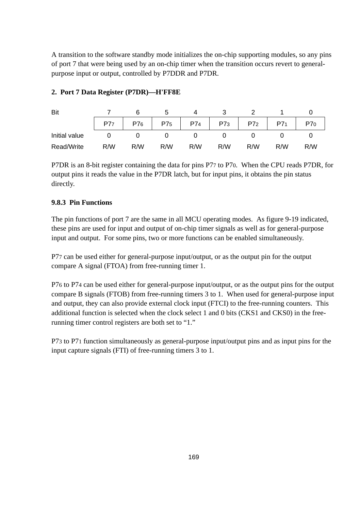A transition to the software standby mode initializes the on-chip supporting modules, so any pins of port 7 that were being used by an on-chip timer when the transition occurs revert to generalpurpose input or output, controlled by P7DDR and P7DR.

| Bit           |     |     |     |     |     |                 |     |     |
|---------------|-----|-----|-----|-----|-----|-----------------|-----|-----|
|               | P77 | P76 | P75 | P74 | P73 | P7 <sub>2</sub> |     | P70 |
| Initial value |     |     |     |     |     |                 |     |     |
| Read/Write    | R/W | R/W | R/W | R/W | R/W | R/W             | R/W | R/W |

### **2. Port 7 Data Register (P7DR)—H'FF8E**

P7DR is an 8-bit register containing the data for pins P77 to P70. When the CPU reads P7DR, for output pins it reads the value in the P7DR latch, but for input pins, it obtains the pin status directly.

## **9.8.3 Pin Functions**

The pin functions of port 7 are the same in all MCU operating modes. As figure 9-19 indicated, these pins are used for input and output of on-chip timer signals as well as for general-purpose input and output. For some pins, two or more functions can be enabled simultaneously.

P77 can be used either for general-purpose input/output, or as the output pin for the output compare A signal (FTOA) from free-running timer 1.

P76 to P74 can be used either for general-purpose input/output, or as the output pins for the output compare B signals (FTOB) from free-running timers 3 to 1. When used for general-purpose input and output, they can also provide external clock input (FTCI) to the free-running counters. This additional function is selected when the clock select 1 and 0 bits (CKS1 and CKS0) in the freerunning timer control registers are both set to "1."

P73 to P71 function simultaneously as general-purpose input/output pins and as input pins for the input capture signals (FTI) of free-running timers 3 to 1.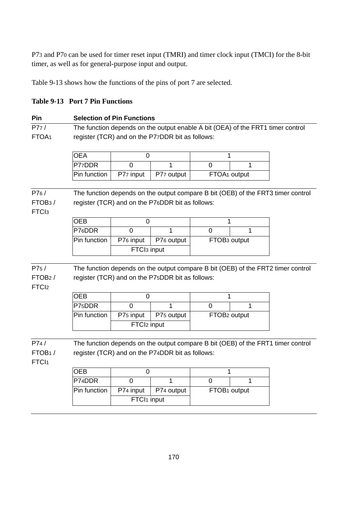P73 and P70 can be used for timer reset input (TMRI) and timer clock input (TMCI) for the 8-bit timer, as well as for general-purpose input and output.

Table 9-13 shows how the functions of the pins of port 7 are selected.

| <b>Table 9-13 Port 7 Pin Functions</b> |  |  |  |
|----------------------------------------|--|--|--|
|----------------------------------------|--|--|--|

| Pin                                              |                                                                                                                                      | <b>Selection of Pin Functions</b> |                                                                                 |                          |                          |                                                                                  |  |
|--------------------------------------------------|--------------------------------------------------------------------------------------------------------------------------------------|-----------------------------------|---------------------------------------------------------------------------------|--------------------------|--------------------------|----------------------------------------------------------------------------------|--|
| P77/                                             |                                                                                                                                      |                                   | The function depends on the output enable A bit (OEA) of the FRT1 timer control |                          |                          |                                                                                  |  |
| FTOA <sub>1</sub>                                |                                                                                                                                      |                                   | register (TCR) and on the P77DDR bit as follows:                                |                          |                          |                                                                                  |  |
|                                                  | <b>OEA</b>                                                                                                                           | 0                                 |                                                                                 | 1                        |                          |                                                                                  |  |
|                                                  | P77DDR                                                                                                                               | $\Omega$                          | 1                                                                               | $\Omega$                 | 1                        |                                                                                  |  |
|                                                  | Pin function                                                                                                                         | P77 input                         | P77 output                                                                      | FTOA <sub>1</sub> output |                          |                                                                                  |  |
| P76/<br>FTOB <sub>3</sub> /<br>FTC <sub>13</sub> |                                                                                                                                      |                                   | register (TCR) and on the P76DDR bit as follows:                                |                          |                          | The function depends on the output compare B bit (OEB) of the FRT3 timer control |  |
|                                                  | <b>OEB</b>                                                                                                                           | 0                                 |                                                                                 | 1                        |                          |                                                                                  |  |
|                                                  | P76DDR                                                                                                                               | $\Omega$                          | 1                                                                               | $\Omega$                 | 1                        |                                                                                  |  |
|                                                  | Pin function                                                                                                                         | P76 input                         | P76 output                                                                      |                          | FTOB <sub>3</sub> output |                                                                                  |  |
|                                                  | FTCI <sub>3</sub> input                                                                                                              |                                   |                                                                                 |                          |                          |                                                                                  |  |
| P75/<br>FTOB <sub>2</sub> /<br>FTC <sub>l2</sub> |                                                                                                                                      |                                   | register (TCR) and on the P75DDR bit as follows:                                |                          |                          | The function depends on the output compare B bit (OEB) of the FRT2 timer control |  |
|                                                  | <b>OEB</b>                                                                                                                           | $\Omega$                          |                                                                                 | 1                        |                          |                                                                                  |  |
|                                                  | P7 <sub>5</sub> DDR                                                                                                                  | $\Omega$                          | 1                                                                               | $\Omega$                 | 1                        |                                                                                  |  |
|                                                  | Pin function                                                                                                                         | P75 input                         | P75 output                                                                      | FTOB <sub>2</sub> output |                          |                                                                                  |  |
|                                                  |                                                                                                                                      | FTCI <sub>2</sub> input           |                                                                                 |                          |                          |                                                                                  |  |
| P74/<br>FTOB <sub>1</sub> /<br>FTCI <sub>1</sub> | The function depends on the output compare B bit (OEB) of the FRT1 timer control<br>register (TCR) and on the P74DDR bit as follows: |                                   |                                                                                 |                          |                          |                                                                                  |  |
|                                                  | <b>OEB</b>                                                                                                                           | 0                                 |                                                                                 | 1                        |                          |                                                                                  |  |
|                                                  | P74DDR                                                                                                                               | $\Omega$                          | 1                                                                               | $\Omega$                 | 1                        |                                                                                  |  |
|                                                  | Pin function                                                                                                                         | P74 input                         | P74 output                                                                      | FTOB <sub>1</sub> output |                          |                                                                                  |  |
|                                                  | FTCI <sub>1</sub> input                                                                                                              |                                   |                                                                                 |                          |                          |                                                                                  |  |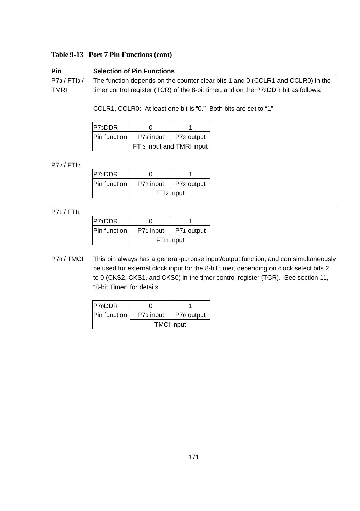#### **Table 9-13 Port 7 Pin Functions (cont)**

# **Pin Selection of Pin Functions** P73 / FTI3 / The function depends on the counter clear bits 1 and 0 (CCLR1 and CCLR0) in the TMRI timer control register (TCR) of the 8-bit timer, and on the P73DDR bit as follows:

CCLR1, CCLR0: At least one bit is "0." Both bits are set to "1"

| P73DDR       |                                       |            |  |  |  |
|--------------|---------------------------------------|------------|--|--|--|
| Pin function | P73 input                             | P73 output |  |  |  |
|              | FTI <sub>3</sub> input and TMRI input |            |  |  |  |

P72 / FTI2

| P72DDR       |                         |  |  |  |  |
|--------------|-------------------------|--|--|--|--|
| Pin function | P72 input<br>P72 output |  |  |  |  |
|              | FTI <sub>2</sub> input  |  |  |  |  |

P71 / FTI1

| P71DDR       |                        |            |  |  |  |
|--------------|------------------------|------------|--|--|--|
| Pin function | P71 input              | P71 output |  |  |  |
|              | FTI <sub>1</sub> input |            |  |  |  |

P70 / TMCI This pin always has a general-purpose input/output function, and can simultaneously be used for external clock input for the 8-bit timer, depending on clock select bits 2 to 0 (CKS2, CKS1, and CKS0) in the timer control register (TCR). See section 11, "8-bit Timer" for details.

| P70DDR              |                   |            |  |  |  |
|---------------------|-------------------|------------|--|--|--|
| <b>Pin function</b> | P70 input         | P70 output |  |  |  |
|                     | <b>TMCI</b> input |            |  |  |  |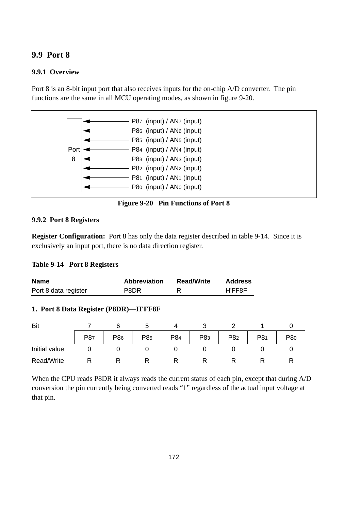# **9.9 Port 8**

## **9.9.1 Overview**

Port 8 is an 8-bit input port that also receives inputs for the on-chip A/D converter. The pin functions are the same in all MCU operating modes, as shown in figure 9-20.



**Figure 9-20 Pin Functions of Port 8**

#### **9.9.2 Port 8 Registers**

**Register Configuration:** Port 8 has only the data register described in table 9-14. Since it is exclusively an input port, there is no data direction register.

#### **Table 9-14 Port 8 Registers**

| <b>Name</b>          | <b>Abbreviation</b> | <b>Read/Write</b> | <b>Address</b> |
|----------------------|---------------------|-------------------|----------------|
| Port 8 data register | P8DR                |                   | H'FF8F         |

#### **1. Port 8 Data Register (P8DR)—H'FF8F**

| Bit           |     |     |     |     |                 |     |     |     |
|---------------|-----|-----|-----|-----|-----------------|-----|-----|-----|
|               | P87 | P86 | P85 | P84 | P <sub>83</sub> | P82 | P81 | P80 |
| Initial value |     |     |     |     |                 |     |     |     |
| Read/Write    |     |     |     |     |                 |     |     |     |

When the CPU reads P8DR it always reads the current status of each pin, except that during A/D conversion the pin currently being converted reads "1" regardless of the actual input voltage at that pin.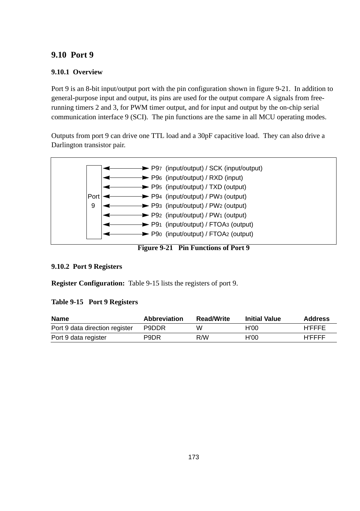# **9.10 Port 9**

# **9.10.1 Overview**

Port 9 is an 8-bit input/output port with the pin configuration shown in figure 9-21. In addition to general-purpose input and output, its pins are used for the output compare A signals from freerunning timers 2 and 3, for PWM timer output, and for input and output by the on-chip serial communication interface 9 (SCI). The pin functions are the same in all MCU operating modes.

Outputs from port 9 can drive one TTL load and a 30pF capacitive load. They can also drive a Darlington transistor pair.



**Figure 9-21 Pin Functions of Port 9**

#### **9.10.2 Port 9 Registers**

**Register Configuration:** Table 9-15 lists the registers of port 9.

#### **Table 9-15 Port 9 Registers**

| <b>Name</b>                    | <b>Abbreviation</b> | <b>Read/Write</b> | <b>Initial Value</b> | <b>Address</b> |
|--------------------------------|---------------------|-------------------|----------------------|----------------|
| Port 9 data direction register | P9DDR               | w                 | H'OO                 | <b>H'FFFF</b>  |
| Port 9 data register           | P9DR                | R/W               | H'00                 | <b>H'FFFF</b>  |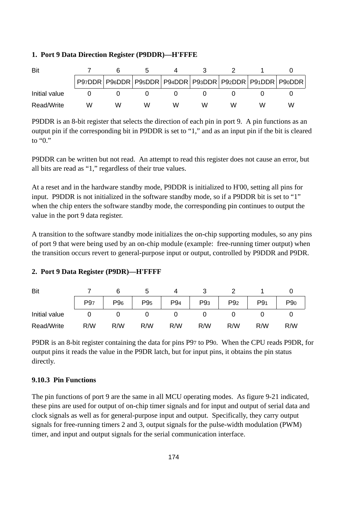#### **1. Port 9 Data Direction Register (P9DDR)—H'FFFE**

| Bit           |   |   |   |   |   |   |   |                                                                       |
|---------------|---|---|---|---|---|---|---|-----------------------------------------------------------------------|
|               |   |   |   |   |   |   |   | P97DDR   P96DDR   P95DDR   P94DDR   P93DDR   P92DDR   P91DDR   P90DDR |
| Initial value |   |   |   |   |   |   |   |                                                                       |
| Read/Write    | w | w | w | w | w | w | w | W                                                                     |

P9DDR is an 8-bit register that selects the direction of each pin in port 9. A pin functions as an output pin if the corresponding bit in P9DDR is set to "1," and as an input pin if the bit is cleared to " $0$ "

P9DDR can be written but not read. An attempt to read this register does not cause an error, but all bits are read as "1," regardless of their true values.

At a reset and in the hardware standby mode, P9DDR is initialized to H'00, setting all pins for input. P9DDR is not initialized in the software standby mode, so if a P9DDR bit is set to "1" when the chip enters the software standby mode, the corresponding pin continues to output the value in the port 9 data register.

A transition to the software standby mode initializes the on-chip supporting modules, so any pins of port 9 that were being used by an on-chip module (example: free-running timer output) when the transition occurs revert to general-purpose input or output, controlled by P9DDR and P9DR.

#### **2. Port 9 Data Register (P9DR)—H'FFFF**

| Bit           |                 |                 |                 |                 |                 |                 |                 |                 |
|---------------|-----------------|-----------------|-----------------|-----------------|-----------------|-----------------|-----------------|-----------------|
|               | P <sub>97</sub> | P <sub>96</sub> | P <sub>95</sub> | P <sub>94</sub> | P <sub>93</sub> | P <sub>92</sub> | P9 <sub>1</sub> | P <sub>90</sub> |
| Initial value |                 |                 |                 |                 |                 |                 |                 |                 |
| Read/Write    | R/W             | R/W             | R/W             | R/W             | R/W             | R/W             | R/W             | R/W             |

P9DR is an 8-bit register containing the data for pins P97 to P90. When the CPU reads P9DR, for output pins it reads the value in the P9DR latch, but for input pins, it obtains the pin status directly.

#### **9.10.3 Pin Functions**

The pin functions of port 9 are the same in all MCU operating modes. As figure 9-21 indicated, these pins are used for output of on-chip timer signals and for input and output of serial data and clock signals as well as for general-purpose input and output. Specifically, they carry output signals for free-running timers 2 and 3, output signals for the pulse-width modulation (PWM) timer, and input and output signals for the serial communication interface.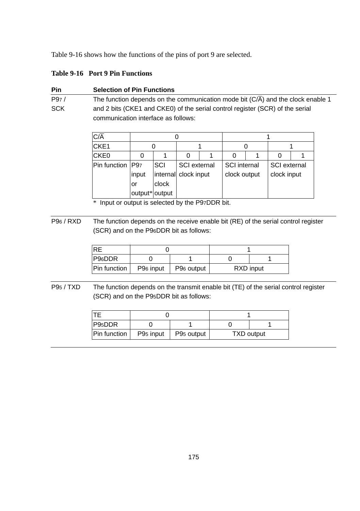Table 9-16 shows how the functions of the pins of port 9 are selected.

# **Table 9-16 Port 9 Pin Functions**

| Pin  | <b>Selection of Pin Functions</b>                                               |
|------|---------------------------------------------------------------------------------|
| P97/ | The function depends on the communication mode bit (C/A) and the clock enable 1 |
| SCK  | and 2 bits (CKE1 and CKE0) of the serial control register (SCR) of the serial   |
|      | communication interface as follows:                                             |

| $C/\overline{A}$  |                |                      |                     |  |                     |              |  |
|-------------------|----------------|----------------------|---------------------|--|---------------------|--------------|--|
| CKE <sub>1</sub>  |                |                      |                     |  |                     |              |  |
| CKE0              |                |                      | 0                   |  |                     |              |  |
| Pin function IP97 |                | SCI                  | <b>SCI</b> external |  | <b>SCI</b> internal | SCI external |  |
|                   | input          | internal clock input |                     |  | clock output        | clock input  |  |
|                   | or             | clock                |                     |  |                     |              |  |
|                   | output* output |                      |                     |  |                     |              |  |

\* Input or output is selected by the P97DDR bit.

P96 / RXD The function depends on the receive enable bit (RE) of the serial control register (SCR) and on the P96DDR bit as follows:

| <b>IRE</b>   |                       |                        |           |  |
|--------------|-----------------------|------------------------|-----------|--|
| P96DDR       |                       |                        |           |  |
| Pin function | P <sub>96</sub> input | P <sub>96</sub> output | RXD input |  |

P95 / TXD The function depends on the transmit enable bit (TE) of the serial control register (SCR) and on the P95DDR bit as follows:

| P95DDR       |                       |                        |                   |  |
|--------------|-----------------------|------------------------|-------------------|--|
| Pin function | P <sub>95</sub> input | P <sub>95</sub> output | <b>TXD output</b> |  |